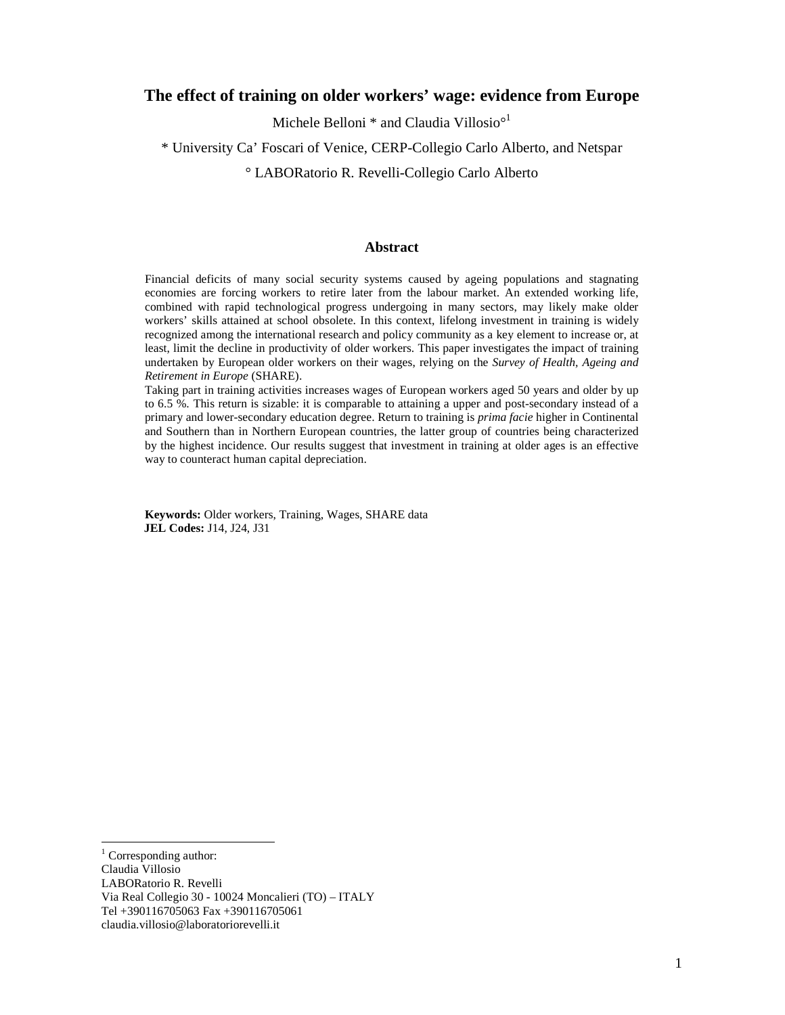# **The effect of training on older workers' wage: evidence from Europe**

Michele Belloni \* and Claudia Villosio<sup>o1</sup>

### \* University Ca' Foscari of Venice, CERP-Collegio Carlo Alberto, and Netspar

° LABORatorio R. Revelli-Collegio Carlo Alberto

### **Abstract**

Financial deficits of many social security systems caused by ageing populations and stagnating economies are forcing workers to retire later from the labour market. An extended working life, combined with rapid technological progress undergoing in many sectors, may likely make older workers' skills attained at school obsolete. In this context, lifelong investment in training is widely recognized among the international research and policy community as a key element to increase or, at least, limit the decline in productivity of older workers. This paper investigates the impact of training undertaken by European older workers on their wages, relying on the *Survey of Health, Ageing and Retirement in Europe* (SHARE).

Taking part in training activities increases wages of European workers aged 50 years and older by up to 6.5 %. This return is sizable: it is comparable to attaining a upper and post-secondary instead of a primary and lower-secondary education degree. Return to training is *prima facie* higher in Continental and Southern than in Northern European countries, the latter group of countries being characterized by the highest incidence. Our results suggest that investment in training at older ages is an effective way to counteract human capital depreciation.

**Keywords:** Older workers, Training, Wages, SHARE data **JEL Codes:** J14, J24, J31

 $\overline{a}$ 

<sup>&</sup>lt;sup>1</sup> Corresponding author:

Claudia Villosio

LABORatorio R. Revelli

Via Real Collegio 30 - 10024 Moncalieri (TO) – ITALY

Tel +390116705063 Fax +390116705061

claudia.villosio@laboratoriorevelli.it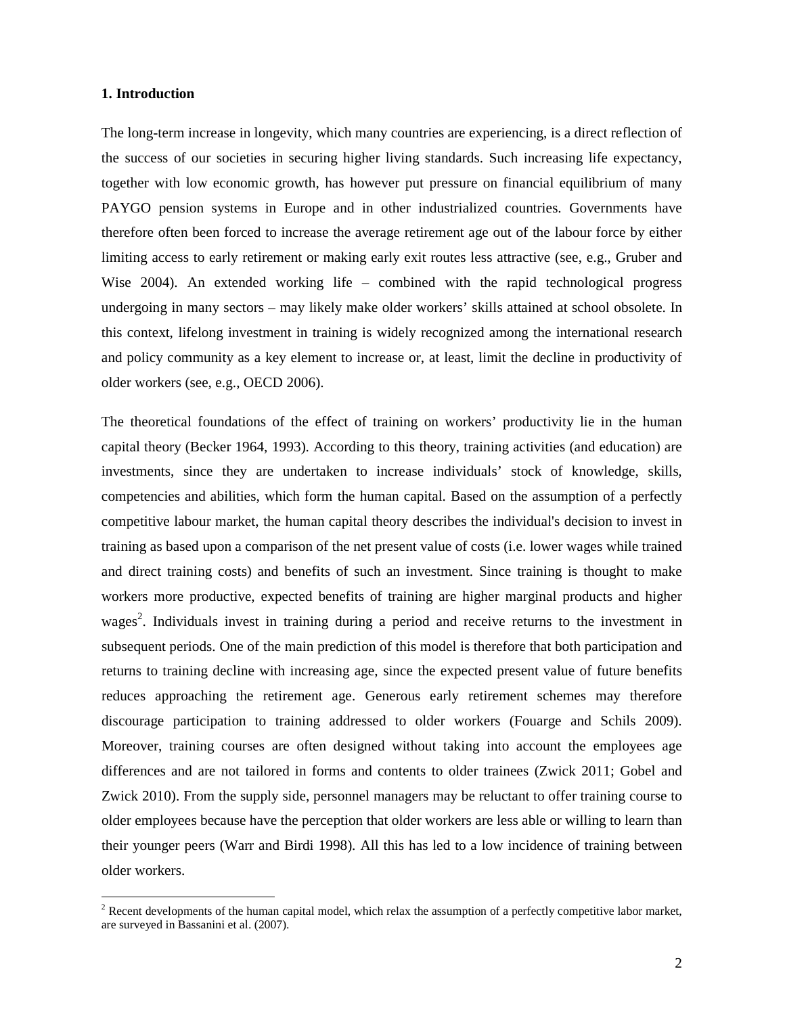### **1. Introduction**

 $\overline{a}$ 

The long-term increase in longevity, which many countries are experiencing, is a direct reflection of the success of our societies in securing higher living standards. Such increasing life expectancy, together with low economic growth, has however put pressure on financial equilibrium of many PAYGO pension systems in Europe and in other industrialized countries. Governments have therefore often been forced to increase the average retirement age out of the labour force by either limiting access to early retirement or making early exit routes less attractive (see, e.g., Gruber and Wise 2004). An extended working life – combined with the rapid technological progress undergoing in many sectors – may likely make older workers' skills attained at school obsolete. In this context, lifelong investment in training is widely recognized among the international research and policy community as a key element to increase or, at least, limit the decline in productivity of older workers (see, e.g., OECD 2006).

The theoretical foundations of the effect of training on workers' productivity lie in the human capital theory (Becker 1964, 1993). According to this theory, training activities (and education) are investments, since they are undertaken to increase individuals' stock of knowledge, skills, competencies and abilities, which form the human capital. Based on the assumption of a perfectly competitive labour market, the human capital theory describes the individual's decision to invest in training as based upon a comparison of the net present value of costs (i.e. lower wages while trained and direct training costs) and benefits of such an investment. Since training is thought to make workers more productive, expected benefits of training are higher marginal products and higher wages<sup>2</sup>. Individuals invest in training during a period and receive returns to the investment in subsequent periods. One of the main prediction of this model is therefore that both participation and returns to training decline with increasing age, since the expected present value of future benefits reduces approaching the retirement age. Generous early retirement schemes may therefore discourage participation to training addressed to older workers (Fouarge and Schils 2009). Moreover, training courses are often designed without taking into account the employees age differences and are not tailored in forms and contents to older trainees (Zwick 2011; Gobel and Zwick 2010). From the supply side, personnel managers may be reluctant to offer training course to older employees because have the perception that older workers are less able or willing to learn than their younger peers (Warr and Birdi 1998). All this has led to a low incidence of training between older workers.

 $2^{2}$  Recent developments of the human capital model, which relax the assumption of a perfectly competitive labor market, are surveyed in Bassanini et al. (2007).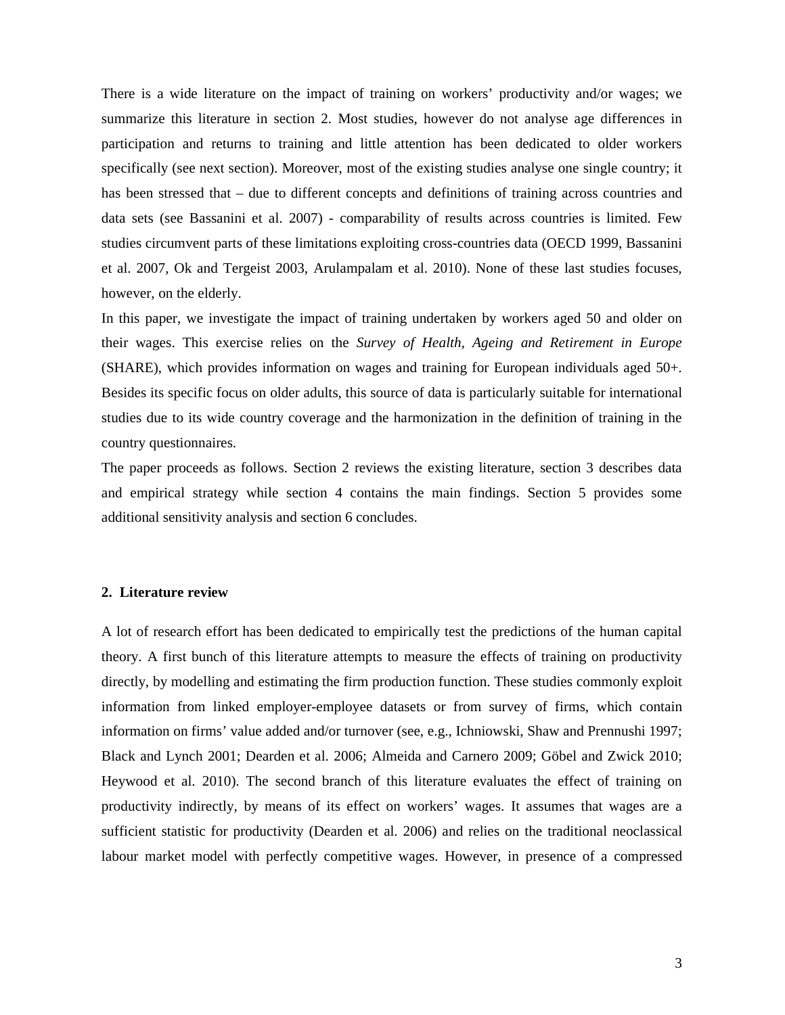There is a wide literature on the impact of training on workers' productivity and/or wages; we summarize this literature in section 2. Most studies, however do not analyse age differences in participation and returns to training and little attention has been dedicated to older workers specifically (see next section). Moreover, most of the existing studies analyse one single country; it has been stressed that – due to different concepts and definitions of training across countries and data sets (see Bassanini et al. 2007) - comparability of results across countries is limited. Few studies circumvent parts of these limitations exploiting cross-countries data (OECD 1999, Bassanini et al. 2007, Ok and Tergeist 2003, Arulampalam et al. 2010). None of these last studies focuses, however, on the elderly.

In this paper, we investigate the impact of training undertaken by workers aged 50 and older on their wages. This exercise relies on the *Survey of Health, Ageing and Retirement in Europe* (SHARE), which provides information on wages and training for European individuals aged 50+. Besides its specific focus on older adults, this source of data is particularly suitable for international studies due to its wide country coverage and the harmonization in the definition of training in the country questionnaires.

The paper proceeds as follows. Section 2 reviews the existing literature, section 3 describes data and empirical strategy while section 4 contains the main findings. Section 5 provides some additional sensitivity analysis and section 6 concludes.

### **2. Literature review**

A lot of research effort has been dedicated to empirically test the predictions of the human capital theory. A first bunch of this literature attempts to measure the effects of training on productivity directly, by modelling and estimating the firm production function. These studies commonly exploit information from linked employer-employee datasets or from survey of firms, which contain information on firms' value added and/or turnover (see, e.g., Ichniowski, Shaw and Prennushi 1997; Black and Lynch 2001; Dearden et al. 2006; Almeida and Carnero 2009; Göbel and Zwick 2010; Heywood et al. 2010). The second branch of this literature evaluates the effect of training on productivity indirectly, by means of its effect on workers' wages. It assumes that wages are a sufficient statistic for productivity (Dearden et al. 2006) and relies on the traditional neoclassical labour market model with perfectly competitive wages. However, in presence of a compressed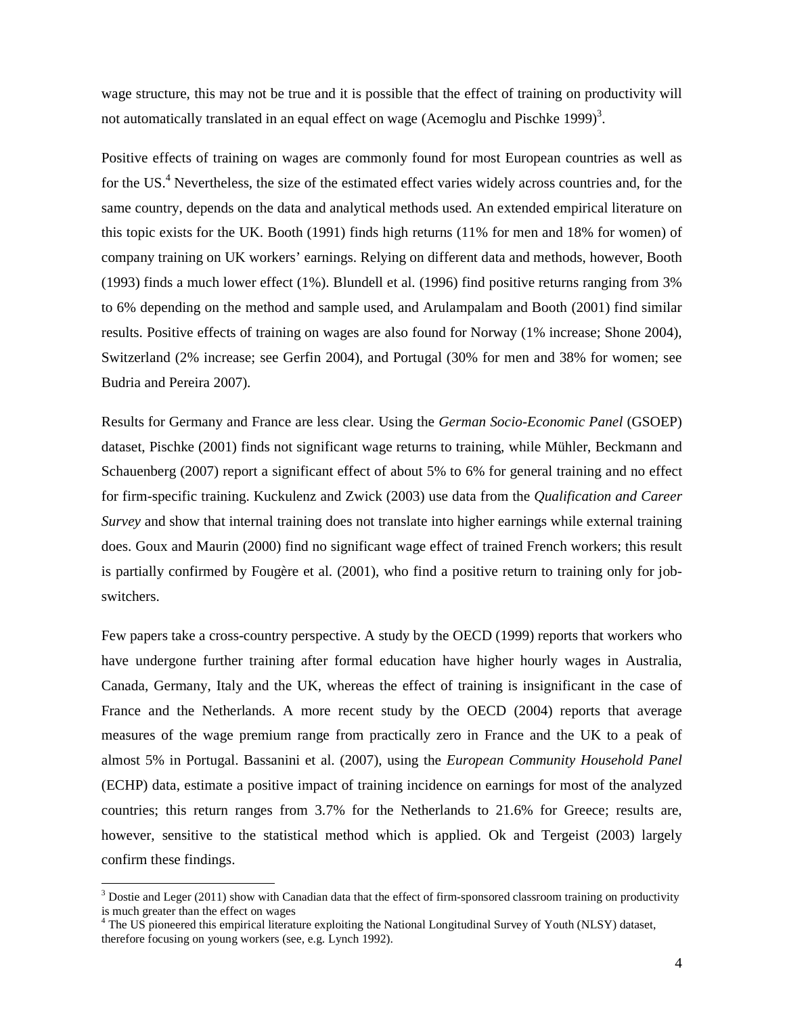wage structure, this may not be true and it is possible that the effect of training on productivity will not automatically translated in an equal effect on wage (Acemoglu and Pischke 1999)<sup>3</sup>.

Positive effects of training on wages are commonly found for most European countries as well as for the US.<sup>4</sup> Nevertheless, the size of the estimated effect varies widely across countries and, for the same country, depends on the data and analytical methods used. An extended empirical literature on this topic exists for the UK. Booth (1991) finds high returns (11% for men and 18% for women) of company training on UK workers' earnings. Relying on different data and methods, however, Booth (1993) finds a much lower effect (1%). Blundell et al. (1996) find positive returns ranging from 3% to 6% depending on the method and sample used, and Arulampalam and Booth (2001) find similar results. Positive effects of training on wages are also found for Norway (1% increase; Shone 2004), Switzerland (2% increase; see Gerfin 2004), and Portugal (30% for men and 38% for women; see Budria and Pereira 2007).

Results for Germany and France are less clear. Using the *German Socio-Economic Panel* (GSOEP) dataset, Pischke (2001) finds not significant wage returns to training, while Mühler, Beckmann and Schauenberg (2007) report a significant effect of about 5% to 6% for general training and no effect for firm-specific training. Kuckulenz and Zwick (2003) use data from the *Qualification and Career Survey* and show that internal training does not translate into higher earnings while external training does. Goux and Maurin (2000) find no significant wage effect of trained French workers; this result is partially confirmed by Fougère et al. (2001), who find a positive return to training only for jobswitchers.

Few papers take a cross-country perspective. A study by the OECD (1999) reports that workers who have undergone further training after formal education have higher hourly wages in Australia, Canada, Germany, Italy and the UK, whereas the effect of training is insignificant in the case of France and the Netherlands. A more recent study by the OECD (2004) reports that average measures of the wage premium range from practically zero in France and the UK to a peak of almost 5% in Portugal. Bassanini et al. (2007), using the *European Community Household Panel* (ECHP) data, estimate a positive impact of training incidence on earnings for most of the analyzed countries; this return ranges from 3.7% for the Netherlands to 21.6% for Greece; results are, however, sensitive to the statistical method which is applied. Ok and Tergeist (2003) largely confirm these findings.

 $\overline{a}$ 

 $3$  Dostie and Leger (2011) show with Canadian data that the effect of firm-sponsored classroom training on productivity is much greater than the effect on wages

<sup>&</sup>lt;sup>4</sup> The US pioneered this empirical literature exploiting the National Longitudinal Survey of Youth (NLSY) dataset, therefore focusing on young workers (see, e.g. Lynch 1992).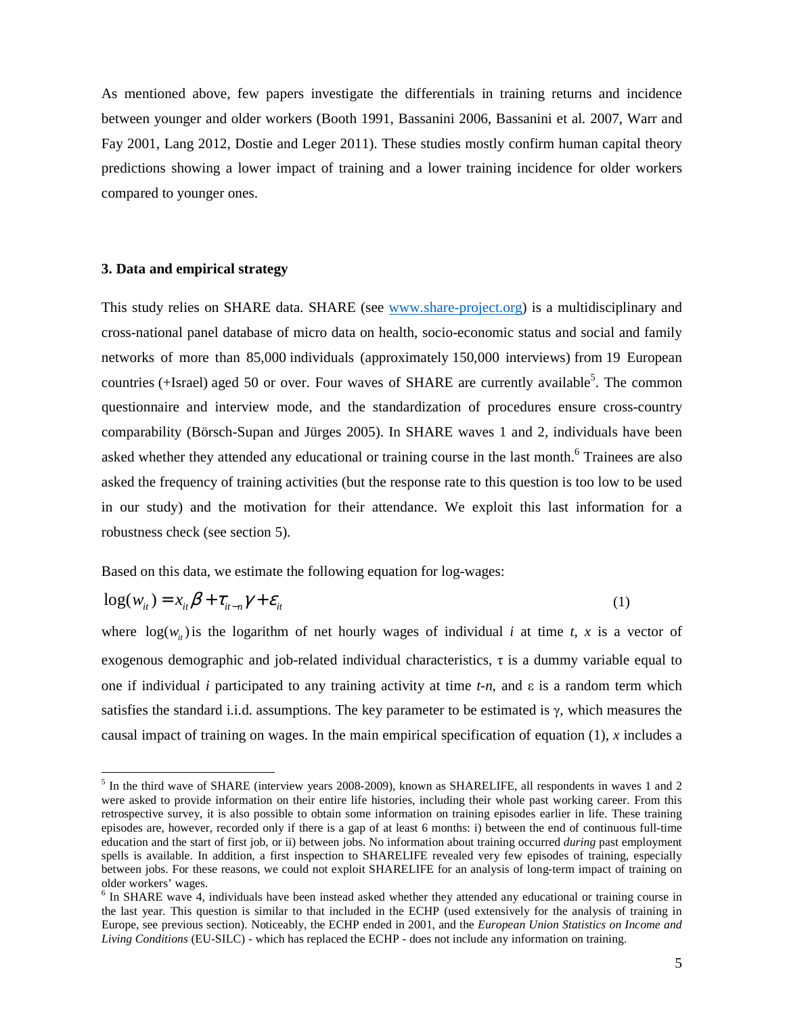As mentioned above, few papers investigate the differentials in training returns and incidence between younger and older workers (Booth 1991, Bassanini 2006, Bassanini et al. 2007, Warr and Fay 2001, Lang 2012, Dostie and Leger 2011). These studies mostly confirm human capital theory predictions showing a lower impact of training and a lower training incidence for older workers compared to younger ones.

### **3. Data and empirical strategy**

 $\ddot{\phantom{a}}$ 

This study relies on SHARE data. SHARE (see www.share-project.org) is a multidisciplinary and cross-national panel database of micro data on health, socio-economic status and social and family networks of more than 85,000 individuals (approximately 150,000 interviews) from 19 European countries (+Israel) aged 50 or over. Four waves of SHARE are currently available<sup>5</sup>. The common questionnaire and interview mode, and the standardization of procedures ensure cross-country comparability (Börsch-Supan and Jürges 2005). In SHARE waves 1 and 2, individuals have been asked whether they attended any educational or training course in the last month.<sup>6</sup> Trainees are also asked the frequency of training activities (but the response rate to this question is too low to be used in our study) and the motivation for their attendance. We exploit this last information for a robustness check (see section 5).

Based on this data, we estimate the following equation for log-wages:

$$
\log(w_{it}) = x_{it} \beta + \tau_{it-n} \gamma + \varepsilon_{it}
$$
 (1)

where  $log(w_i)$  is the logarithm of net hourly wages of individual *i* at time *t*, *x* is a vector of exogenous demographic and job-related individual characteristics,  $\tau$  is a dummy variable equal to one if individual *i* participated to any training activity at time *t-n*, and ε is a random term which satisfies the standard i.i.d. assumptions. The key parameter to be estimated is  $\gamma$ , which measures the causal impact of training on wages. In the main empirical specification of equation (1), *x* includes a

<sup>&</sup>lt;sup>5</sup> In the third wave of SHARE (interview years 2008-2009), known as SHARELIFE, all respondents in waves 1 and 2 were asked to provide information on their entire life histories, including their whole past working career. From this retrospective survey, it is also possible to obtain some information on training episodes earlier in life. These training episodes are, however, recorded only if there is a gap of at least 6 months: i) between the end of continuous full-time education and the start of first job, or ii) between jobs. No information about training occurred *during* past employment spells is available. In addition, a first inspection to SHARELIFE revealed very few episodes of training, especially between jobs. For these reasons, we could not exploit SHARELIFE for an analysis of long-term impact of training on older workers' wages.

<sup>&</sup>lt;sup>6</sup> In SHARE wave 4, individuals have been instead asked whether they attended any educational or training course in the last year. This question is similar to that included in the ECHP (used extensively for the analysis of training in Europe, see previous section). Noticeably, the ECHP ended in 2001, and the *European Union Statistics on Income and Living Conditions* (EU-SILC) - which has replaced the ECHP - does not include any information on training.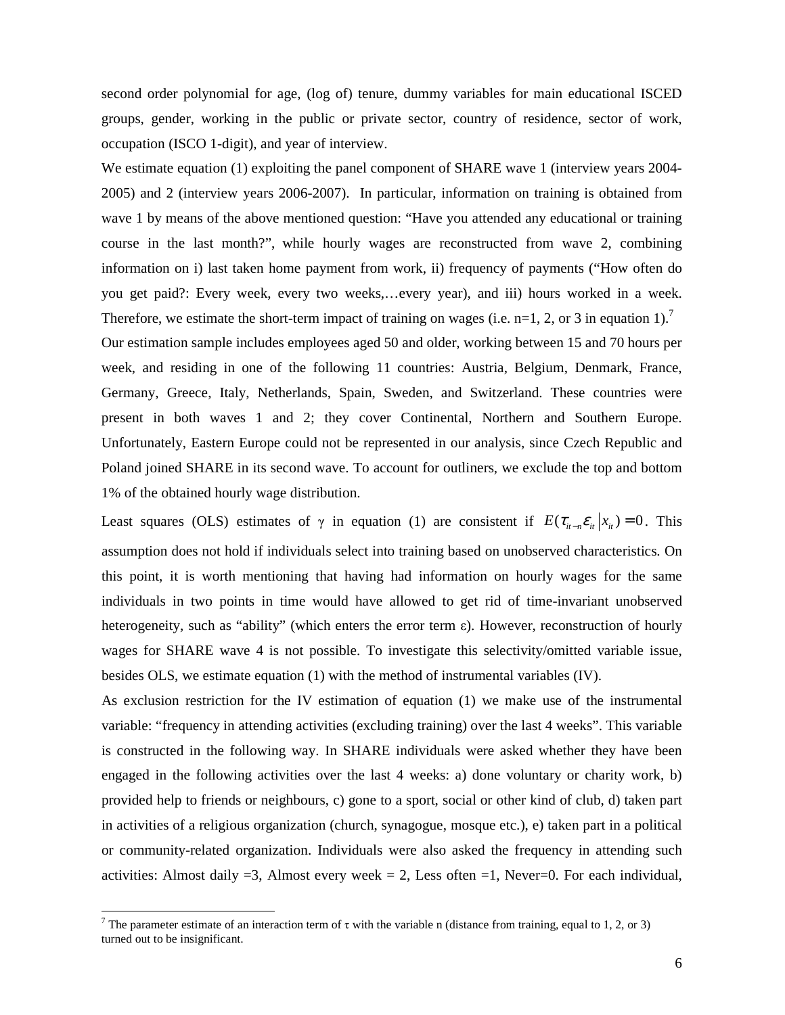second order polynomial for age, (log of) tenure, dummy variables for main educational ISCED groups, gender, working in the public or private sector, country of residence, sector of work, occupation (ISCO 1-digit), and year of interview.

We estimate equation (1) exploiting the panel component of SHARE wave 1 (interview years 2004-2005) and 2 (interview years 2006-2007). In particular, information on training is obtained from wave 1 by means of the above mentioned question: "Have you attended any educational or training course in the last month?", while hourly wages are reconstructed from wave 2, combining information on i) last taken home payment from work, ii) frequency of payments ("How often do you get paid?: Every week, every two weeks,…every year), and iii) hours worked in a week. Therefore, we estimate the short-term impact of training on wages (i.e. n=1, 2, or 3 in equation 1).<sup>7</sup> Our estimation sample includes employees aged 50 and older, working between 15 and 70 hours per week, and residing in one of the following 11 countries: Austria, Belgium, Denmark, France, Germany, Greece, Italy, Netherlands, Spain, Sweden, and Switzerland. These countries were present in both waves 1 and 2; they cover Continental, Northern and Southern Europe. Unfortunately, Eastern Europe could not be represented in our analysis, since Czech Republic and Poland joined SHARE in its second wave. To account for outliners, we exclude the top and bottom 1% of the obtained hourly wage distribution.

Least squares (OLS) estimates of  $\gamma$  in equation (1) are consistent if  $E(\tau_{i}-\varepsilon_i|x_i)=0$ . This assumption does not hold if individuals select into training based on unobserved characteristics. On this point, it is worth mentioning that having had information on hourly wages for the same individuals in two points in time would have allowed to get rid of time-invariant unobserved heterogeneity, such as "ability" (which enters the error term ε). However, reconstruction of hourly wages for SHARE wave 4 is not possible. To investigate this selectivity/omitted variable issue, besides OLS, we estimate equation (1) with the method of instrumental variables (IV).

As exclusion restriction for the IV estimation of equation (1) we make use of the instrumental variable: "frequency in attending activities (excluding training) over the last 4 weeks". This variable is constructed in the following way. In SHARE individuals were asked whether they have been engaged in the following activities over the last 4 weeks: a) done voluntary or charity work, b) provided help to friends or neighbours, c) gone to a sport, social or other kind of club, d) taken part in activities of a religious organization (church, synagogue, mosque etc.), e) taken part in a political or community-related organization. Individuals were also asked the frequency in attending such activities: Almost daily  $=3$ , Almost every week  $=2$ , Less often  $=1$ , Never $=0$ . For each individual,

 $\overline{a}$ 

<sup>&</sup>lt;sup>7</sup> The parameter estimate of an interaction term of  $\tau$  with the variable n (distance from training, equal to 1, 2, or 3) turned out to be insignificant.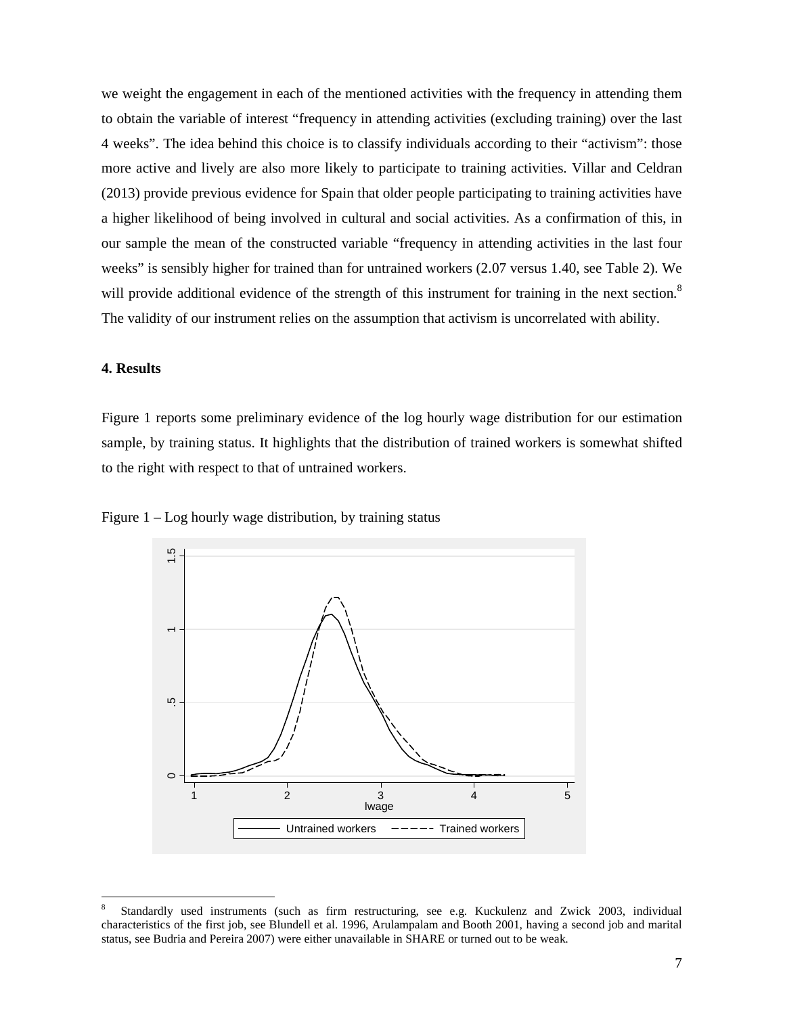we weight the engagement in each of the mentioned activities with the frequency in attending them to obtain the variable of interest "frequency in attending activities (excluding training) over the last 4 weeks". The idea behind this choice is to classify individuals according to their "activism": those more active and lively are also more likely to participate to training activities. Villar and Celdran (2013) provide previous evidence for Spain that older people participating to training activities have a higher likelihood of being involved in cultural and social activities. As a confirmation of this, in our sample the mean of the constructed variable "frequency in attending activities in the last four weeks" is sensibly higher for trained than for untrained workers (2.07 versus 1.40, see Table 2). We will provide additional evidence of the strength of this instrument for training in the next section.<sup>8</sup> The validity of our instrument relies on the assumption that activism is uncorrelated with ability.

### **4. Results**

 $\overline{a}$ 

Figure 1 reports some preliminary evidence of the log hourly wage distribution for our estimation sample, by training status. It highlights that the distribution of trained workers is somewhat shifted to the right with respect to that of untrained workers.



Figure 1 – Log hourly wage distribution, by training status

<sup>8</sup> Standardly used instruments (such as firm restructuring, see e.g. Kuckulenz and Zwick 2003, individual characteristics of the first job, see Blundell et al. 1996, Arulampalam and Booth 2001, having a second job and marital status, see Budria and Pereira 2007) were either unavailable in SHARE or turned out to be weak.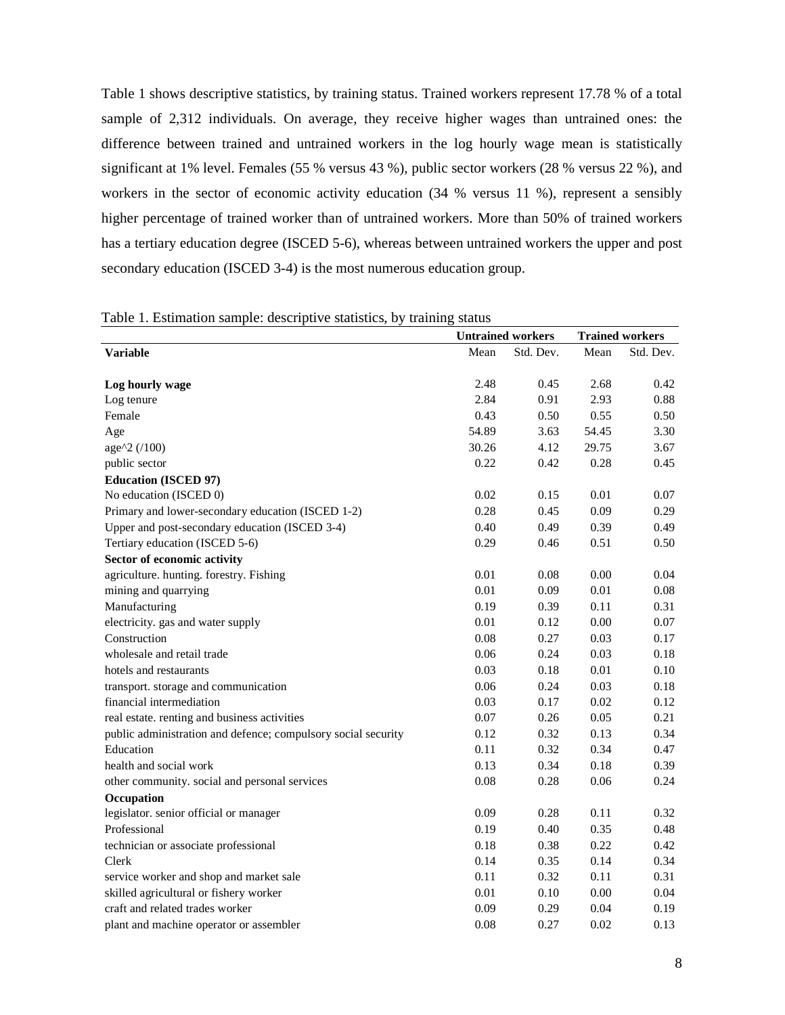Table 1 shows descriptive statistics, by training status. Trained workers represent 17.78 % of a total sample of 2,312 individuals. On average, they receive higher wages than untrained ones: the difference between trained and untrained workers in the log hourly wage mean is statistically significant at 1% level. Females (55 % versus 43 %), public sector workers (28 % versus 22 %), and workers in the sector of economic activity education (34 % versus 11 %), represent a sensibly higher percentage of trained worker than of untrained workers. More than 50% of trained workers has a tertiary education degree (ISCED 5-6), whereas between untrained workers the upper and post secondary education (ISCED 3-4) is the most numerous education group.

|                                                               | <b>Untrained workers</b> |           | <b>Trained workers</b> |           |
|---------------------------------------------------------------|--------------------------|-----------|------------------------|-----------|
| <b>Variable</b>                                               | Mean                     | Std. Dev. | Mean                   | Std. Dev. |
|                                                               |                          |           |                        |           |
| Log hourly wage                                               | 2.48                     | 0.45      | 2.68                   | 0.42      |
| Log tenure                                                    | 2.84                     | 0.91      | 2.93                   | 0.88      |
| Female                                                        | 0.43                     | 0.50      | 0.55                   | 0.50      |
| Age                                                           | 54.89                    | 3.63      | 54.45                  | 3.30      |
| age^2 (/100)                                                  | 30.26                    | 4.12      | 29.75                  | 3.67      |
| public sector                                                 | 0.22                     | 0.42      | 0.28                   | 0.45      |
| <b>Education (ISCED 97)</b>                                   |                          |           |                        |           |
| No education (ISCED 0)                                        | 0.02                     | 0.15      | 0.01                   | 0.07      |
| Primary and lower-secondary education (ISCED 1-2)             | 0.28                     | 0.45      | 0.09                   | 0.29      |
| Upper and post-secondary education (ISCED 3-4)                | 0.40                     | 0.49      | 0.39                   | 0.49      |
| Tertiary education (ISCED 5-6)                                | 0.29                     | 0.46      | 0.51                   | 0.50      |
| Sector of economic activity                                   |                          |           |                        |           |
| agriculture. hunting. forestry. Fishing                       | 0.01                     | 0.08      | 0.00                   | 0.04      |
| mining and quarrying                                          | 0.01                     | 0.09      | 0.01                   | 0.08      |
| Manufacturing                                                 | 0.19                     | 0.39      | 0.11                   | 0.31      |
| electricity. gas and water supply                             | 0.01                     | 0.12      | 0.00                   | 0.07      |
| Construction                                                  | 0.08                     | 0.27      | 0.03                   | 0.17      |
| wholesale and retail trade                                    | 0.06                     | 0.24      | 0.03                   | 0.18      |
| hotels and restaurants                                        | 0.03                     | 0.18      | 0.01                   | 0.10      |
| transport. storage and communication                          | 0.06                     | 0.24      | 0.03                   | 0.18      |
| financial intermediation                                      | 0.03                     | 0.17      | 0.02                   | 0.12      |
| real estate. renting and business activities                  | 0.07                     | 0.26      | 0.05                   | 0.21      |
| public administration and defence; compulsory social security | 0.12                     | 0.32      | 0.13                   | 0.34      |
| Education                                                     | 0.11                     | 0.32      | 0.34                   | 0.47      |
| health and social work                                        | 0.13                     | 0.34      | 0.18                   | 0.39      |
| other community. social and personal services                 | 0.08                     | 0.28      | 0.06                   | 0.24      |
| Occupation                                                    |                          |           |                        |           |
| legislator. senior official or manager                        | 0.09                     | 0.28      | 0.11                   | 0.32      |
| Professional                                                  | 0.19                     | 0.40      | 0.35                   | 0.48      |
| technician or associate professional                          | 0.18                     | 0.38      | 0.22                   | 0.42      |
| Clerk                                                         | 0.14                     | 0.35      | 0.14                   | 0.34      |
| service worker and shop and market sale                       | 0.11                     | 0.32      | 0.11                   | 0.31      |
| skilled agricultural or fishery worker                        | 0.01                     | 0.10      | 0.00                   | 0.04      |
| craft and related trades worker                               | 0.09                     | 0.29      | 0.04                   | 0.19      |
| plant and machine operator or assembler                       | 0.08                     | 0.27      | 0.02                   | 0.13      |

|  |  |  | Table 1. Estimation sample: descriptive statistics, by training status |
|--|--|--|------------------------------------------------------------------------|
|  |  |  |                                                                        |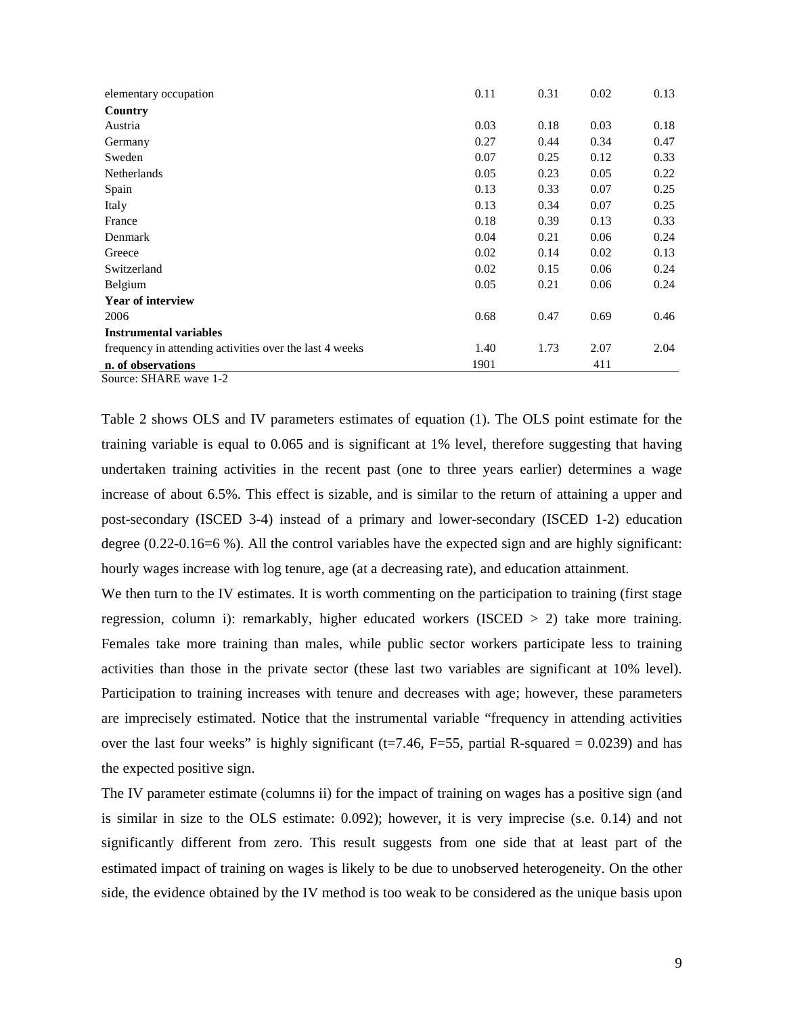| elementary occupation                                   | 0.11 | 0.31 | 0.02 | 0.13 |
|---------------------------------------------------------|------|------|------|------|
| Country                                                 |      |      |      |      |
| Austria                                                 | 0.03 | 0.18 | 0.03 | 0.18 |
| Germany                                                 | 0.27 | 0.44 | 0.34 | 0.47 |
| Sweden                                                  | 0.07 | 0.25 | 0.12 | 0.33 |
| Netherlands                                             | 0.05 | 0.23 | 0.05 | 0.22 |
| Spain                                                   | 0.13 | 0.33 | 0.07 | 0.25 |
| Italy                                                   | 0.13 | 0.34 | 0.07 | 0.25 |
| France                                                  | 0.18 | 0.39 | 0.13 | 0.33 |
| Denmark                                                 | 0.04 | 0.21 | 0.06 | 0.24 |
| Greece                                                  | 0.02 | 0.14 | 0.02 | 0.13 |
| Switzerland                                             | 0.02 | 0.15 | 0.06 | 0.24 |
| Belgium                                                 | 0.05 | 0.21 | 0.06 | 0.24 |
| <b>Year of interview</b>                                |      |      |      |      |
| 2006                                                    | 0.68 | 0.47 | 0.69 | 0.46 |
| <b>Instrumental variables</b>                           |      |      |      |      |
| frequency in attending activities over the last 4 weeks | 1.40 | 1.73 | 2.07 | 2.04 |
| n. of observations                                      | 1901 |      | 411  |      |

Source: SHARE wave 1-2

Table 2 shows OLS and IV parameters estimates of equation (1). The OLS point estimate for the training variable is equal to 0.065 and is significant at 1% level, therefore suggesting that having undertaken training activities in the recent past (one to three years earlier) determines a wage increase of about 6.5%. This effect is sizable, and is similar to the return of attaining a upper and post-secondary (ISCED 3-4) instead of a primary and lower-secondary (ISCED 1-2) education degree (0.22-0.16=6 %). All the control variables have the expected sign and are highly significant: hourly wages increase with log tenure, age (at a decreasing rate), and education attainment.

We then turn to the IV estimates. It is worth commenting on the participation to training (first stage) regression, column i): remarkably, higher educated workers (ISCED > 2) take more training. Females take more training than males, while public sector workers participate less to training activities than those in the private sector (these last two variables are significant at 10% level). Participation to training increases with tenure and decreases with age; however, these parameters are imprecisely estimated. Notice that the instrumental variable "frequency in attending activities over the last four weeks" is highly significant ( $t=7.46$ ,  $F=55$ , partial R-squared = 0.0239) and has the expected positive sign.

The IV parameter estimate (columns ii) for the impact of training on wages has a positive sign (and is similar in size to the OLS estimate: 0.092); however, it is very imprecise (s.e. 0.14) and not significantly different from zero. This result suggests from one side that at least part of the estimated impact of training on wages is likely to be due to unobserved heterogeneity. On the other side, the evidence obtained by the IV method is too weak to be considered as the unique basis upon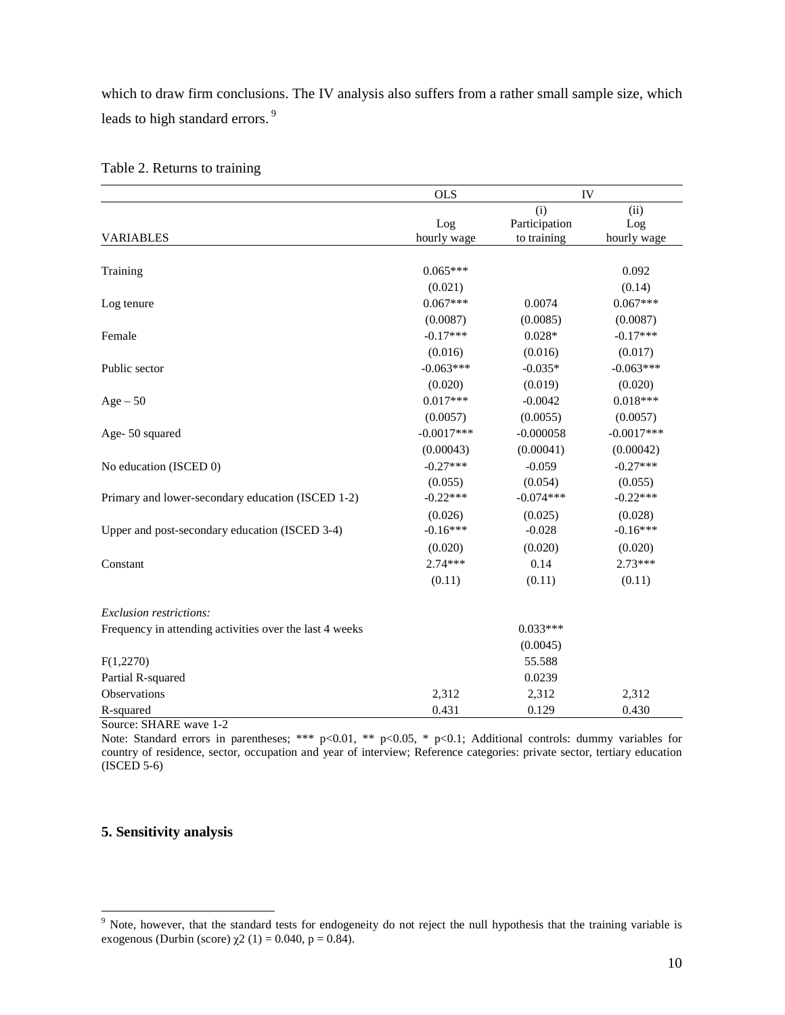which to draw firm conclusions. The IV analysis also suffers from a rather small sample size, which leads to high standard errors.<sup>9</sup>

|                                                         | <b>OLS</b>   | IV            |              |
|---------------------------------------------------------|--------------|---------------|--------------|
|                                                         |              | (i)           | (ii)         |
|                                                         | Log          | Participation | Log          |
| <b>VARIABLES</b>                                        | hourly wage  | to training   | hourly wage  |
|                                                         |              |               |              |
| Training                                                | $0.065***$   |               | 0.092        |
|                                                         | (0.021)      |               | (0.14)       |
| Log tenure                                              | $0.067***$   | 0.0074        | $0.067***$   |
|                                                         | (0.0087)     | (0.0085)      | (0.0087)     |
| Female                                                  | $-0.17***$   | $0.028*$      | $-0.17***$   |
|                                                         | (0.016)      | (0.016)       | (0.017)      |
| Public sector                                           | $-0.063***$  | $-0.035*$     | $-0.063***$  |
|                                                         | (0.020)      | (0.019)       | (0.020)      |
| $Age-50$                                                | $0.017***$   | $-0.0042$     | $0.018***$   |
|                                                         | (0.0057)     | (0.0055)      | (0.0057)     |
| Age-50 squared                                          | $-0.0017***$ | $-0.000058$   | $-0.0017***$ |
|                                                         | (0.00043)    | (0.00041)     | (0.00042)    |
| No education (ISCED 0)                                  | $-0.27***$   | $-0.059$      | $-0.27***$   |
|                                                         | (0.055)      | (0.054)       | (0.055)      |
| Primary and lower-secondary education (ISCED 1-2)       | $-0.22***$   | $-0.074***$   | $-0.22***$   |
|                                                         | (0.026)      | (0.025)       | (0.028)      |
| Upper and post-secondary education (ISCED 3-4)          | $-0.16***$   | $-0.028$      | $-0.16***$   |
|                                                         | (0.020)      | (0.020)       | (0.020)      |
| Constant                                                | $2.74***$    | 0.14          | $2.73***$    |
|                                                         | (0.11)       | (0.11)        | (0.11)       |
| Exclusion restrictions:                                 |              |               |              |
| Frequency in attending activities over the last 4 weeks |              | $0.033***$    |              |
|                                                         |              | (0.0045)      |              |
| F(1,2270)                                               |              | 55.588        |              |
| Partial R-squared                                       |              | 0.0239        |              |
| Observations                                            | 2,312        | 2,312         | 2,312        |
| R-squared                                               | 0.431        | 0.129         | 0.430        |

Table 2. Returns to training

Source: SHARE wave 1-2

Note: Standard errors in parentheses; \*\*\* p<0.01, \*\* p<0.05, \* p<0.1; Additional controls: dummy variables for country of residence, sector, occupation and year of interview; Reference categories: private sector, tertiary education (ISCED 5-6)

## **5. Sensitivity analysis**

<sup>&</sup>lt;sup>9</sup> Note, however, that the standard tests for endogeneity do not reject the null hypothesis that the training variable is exogenous (Durbin (score)  $\chi$ 2 (1) = 0.040, p = 0.84).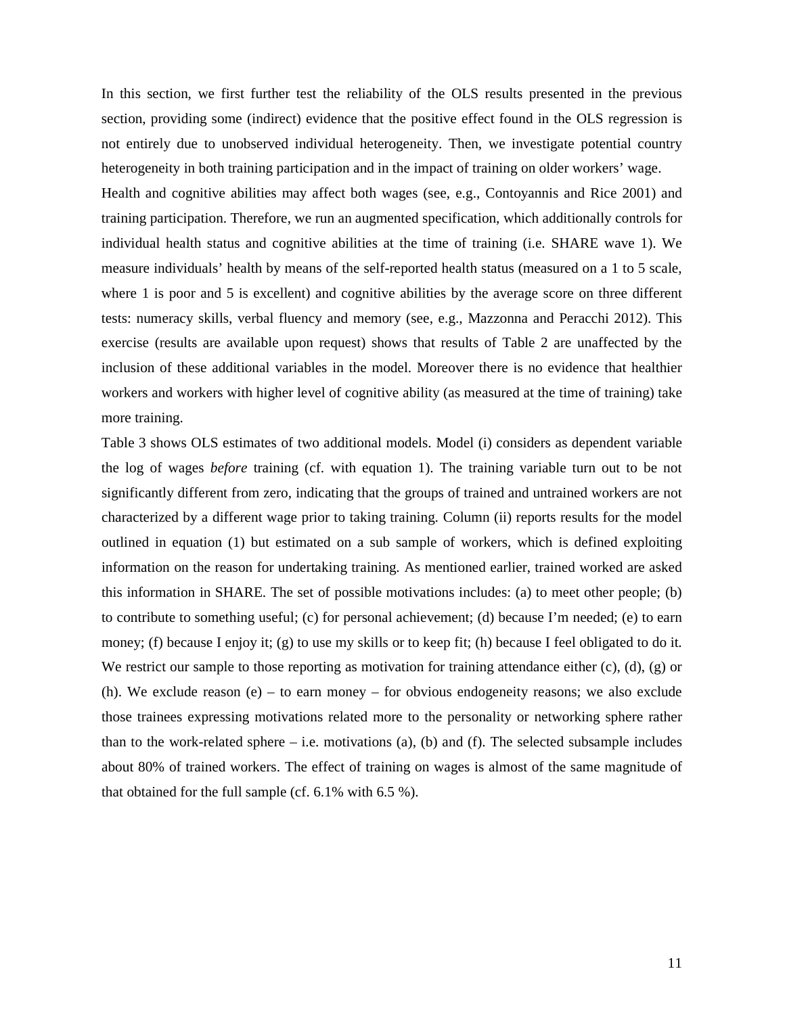In this section, we first further test the reliability of the OLS results presented in the previous section, providing some (indirect) evidence that the positive effect found in the OLS regression is not entirely due to unobserved individual heterogeneity. Then, we investigate potential country heterogeneity in both training participation and in the impact of training on older workers' wage.

Health and cognitive abilities may affect both wages (see, e.g., Contoyannis and Rice 2001) and training participation. Therefore, we run an augmented specification, which additionally controls for individual health status and cognitive abilities at the time of training (i.e. SHARE wave 1). We measure individuals' health by means of the self-reported health status (measured on a 1 to 5 scale, where 1 is poor and 5 is excellent) and cognitive abilities by the average score on three different tests: numeracy skills, verbal fluency and memory (see, e.g., Mazzonna and Peracchi 2012). This exercise (results are available upon request) shows that results of Table 2 are unaffected by the inclusion of these additional variables in the model. Moreover there is no evidence that healthier workers and workers with higher level of cognitive ability (as measured at the time of training) take more training.

Table 3 shows OLS estimates of two additional models. Model (i) considers as dependent variable the log of wages *before* training (cf. with equation 1). The training variable turn out to be not significantly different from zero, indicating that the groups of trained and untrained workers are not characterized by a different wage prior to taking training. Column (ii) reports results for the model outlined in equation (1) but estimated on a sub sample of workers, which is defined exploiting information on the reason for undertaking training. As mentioned earlier, trained worked are asked this information in SHARE. The set of possible motivations includes: (a) to meet other people; (b) to contribute to something useful; (c) for personal achievement; (d) because I'm needed; (e) to earn money; (f) because I enjoy it; (g) to use my skills or to keep fit; (h) because I feel obligated to do it. We restrict our sample to those reporting as motivation for training attendance either  $(c)$ ,  $(d)$ ,  $(g)$  or (h). We exclude reason (e) – to earn money – for obvious endogeneity reasons; we also exclude those trainees expressing motivations related more to the personality or networking sphere rather than to the work-related sphere  $-$  i.e. motivations (a), (b) and (f). The selected subsample includes about 80% of trained workers. The effect of training on wages is almost of the same magnitude of that obtained for the full sample (cf. 6.1% with 6.5 %).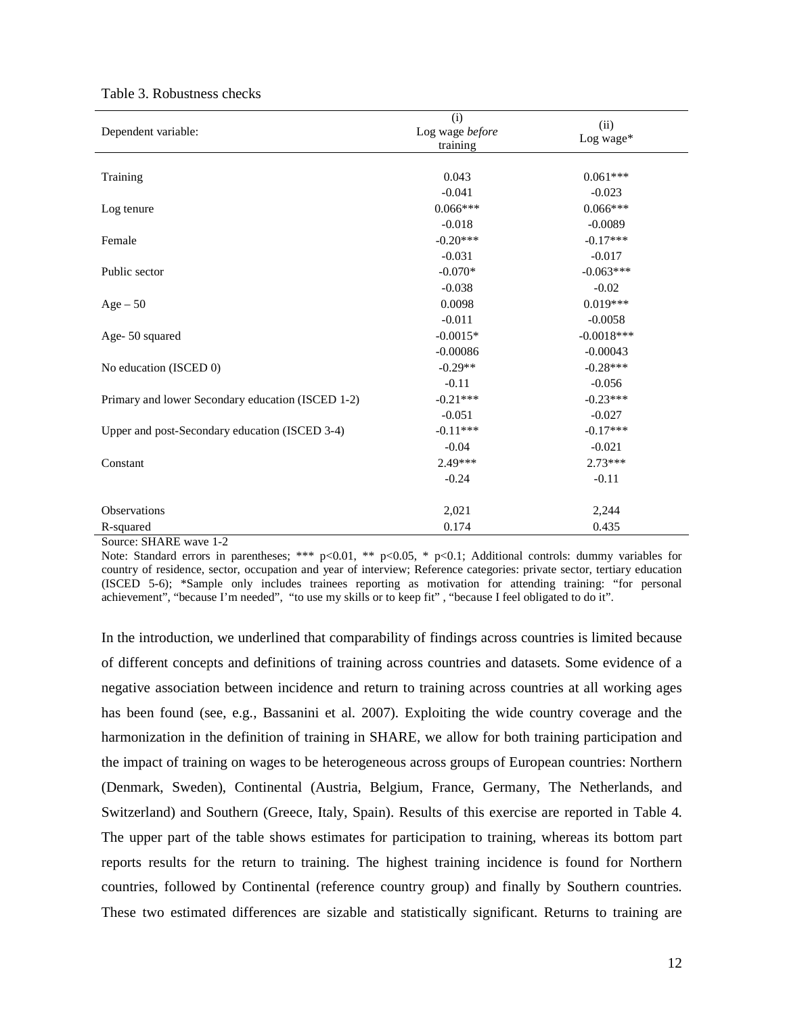| Dependent variable:                               | (i)<br>Log wage before<br>training | (ii)<br>Log wage* |  |
|---------------------------------------------------|------------------------------------|-------------------|--|
| Training                                          | 0.043                              | $0.061***$        |  |
|                                                   | $-0.041$                           | $-0.023$          |  |
| Log tenure                                        | $0.066***$                         | $0.066***$        |  |
|                                                   | $-0.018$                           | $-0.0089$         |  |
| Female                                            | $-0.20***$                         | $-0.17***$        |  |
|                                                   | $-0.031$                           | $-0.017$          |  |
| Public sector                                     | $-0.070*$                          | $-0.063***$       |  |
|                                                   | $-0.038$                           | $-0.02$           |  |
| $Age - 50$                                        | 0.0098                             | $0.019***$        |  |
|                                                   | $-0.011$                           | $-0.0058$         |  |
| Age-50 squared                                    | $-0.0015*$                         | $-0.0018***$      |  |
|                                                   | $-0.00086$                         | $-0.00043$        |  |
| No education (ISCED 0)                            | $-0.29**$                          | $-0.28***$        |  |
|                                                   | $-0.11$                            | $-0.056$          |  |
| Primary and lower Secondary education (ISCED 1-2) | $-0.21***$                         | $-0.23***$        |  |
|                                                   | $-0.051$                           | $-0.027$          |  |
| Upper and post-Secondary education (ISCED 3-4)    | $-0.11***$                         | $-0.17***$        |  |
|                                                   | $-0.04$                            | $-0.021$          |  |
| Constant                                          | 2.49***                            | $2.73***$         |  |
|                                                   | $-0.24$                            | $-0.11$           |  |
| <b>Observations</b>                               | 2,021                              | 2,244             |  |
| R-squared                                         | 0.174                              | 0.435             |  |
| Source: SHARE wave 1-2                            |                                    |                   |  |

#### Table 3. Robustness checks

Note: Standard errors in parentheses; \*\*\* p<0.01, \*\* p<0.05, \* p<0.1; Additional controls: dummy variables for country of residence, sector, occupation and year of interview; Reference categories: private sector, tertiary education (ISCED 5-6); \*Sample only includes trainees reporting as motivation for attending training: "for personal achievement", "because I'm needed", "to use my skills or to keep fit" , "because I feel obligated to do it".

In the introduction, we underlined that comparability of findings across countries is limited because of different concepts and definitions of training across countries and datasets. Some evidence of a negative association between incidence and return to training across countries at all working ages has been found (see, e.g., Bassanini et al. 2007). Exploiting the wide country coverage and the harmonization in the definition of training in SHARE, we allow for both training participation and the impact of training on wages to be heterogeneous across groups of European countries: Northern (Denmark, Sweden), Continental (Austria, Belgium, France, Germany, The Netherlands, and Switzerland) and Southern (Greece, Italy, Spain). Results of this exercise are reported in Table 4. The upper part of the table shows estimates for participation to training, whereas its bottom part reports results for the return to training. The highest training incidence is found for Northern countries, followed by Continental (reference country group) and finally by Southern countries. These two estimated differences are sizable and statistically significant. Returns to training are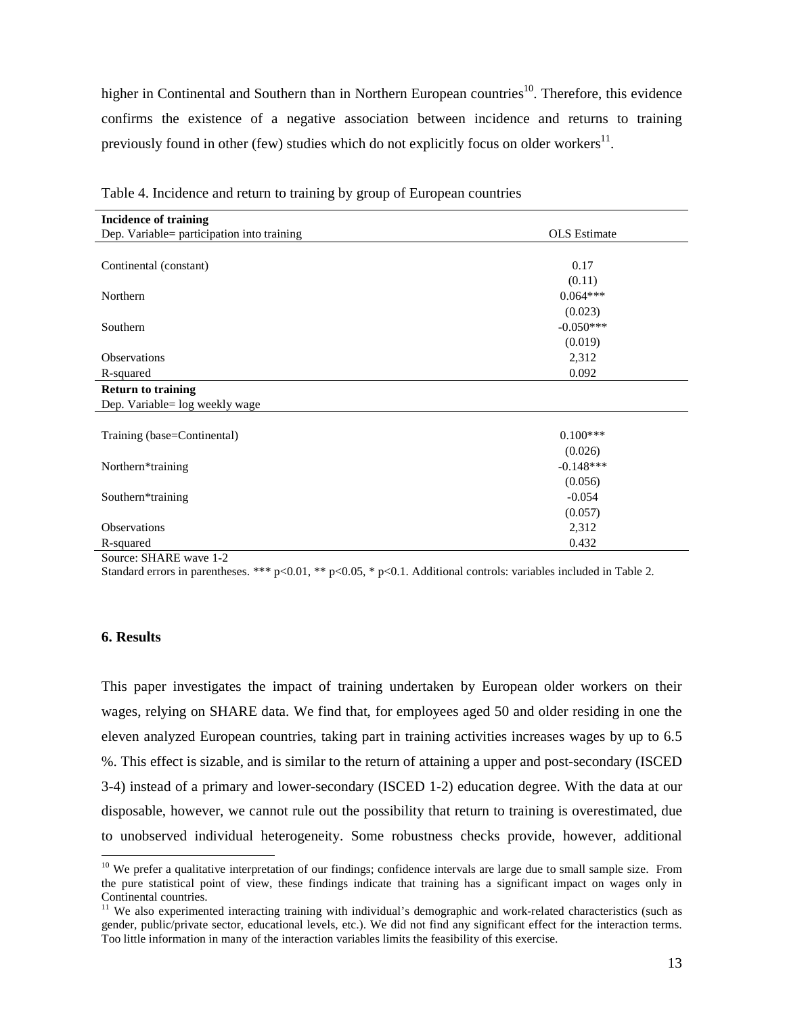higher in Continental and Southern than in Northern European countries<sup>10</sup>. Therefore, this evidence confirms the existence of a negative association between incidence and returns to training previously found in other (few) studies which do not explicitly focus on older workers $^{11}$ .

| <b>Incidence of training</b>               |                     |
|--------------------------------------------|---------------------|
| Dep. Variable= participation into training | <b>OLS</b> Estimate |
|                                            |                     |
| Continental (constant)                     | 0.17                |
|                                            | (0.11)              |
| Northern                                   | $0.064***$          |
|                                            | (0.023)             |
| Southern                                   | $-0.050***$         |
|                                            | (0.019)             |
| <b>Observations</b>                        | 2,312               |
| R-squared                                  | 0.092               |
| <b>Return to training</b>                  |                     |
| Dep. Variable= log weekly wage             |                     |
|                                            |                     |
| Training (base=Continental)                | $0.100***$          |
|                                            | (0.026)             |
| Northern*training                          | $-0.148***$         |
|                                            | (0.056)             |
| Southern*training                          | $-0.054$            |
|                                            | (0.057)             |
| <b>Observations</b>                        | 2,312               |
| R-squared                                  | 0.432               |

| Table 4. Incidence and return to training by group of European countries |  |  |  |
|--------------------------------------------------------------------------|--|--|--|

Source: SHARE wave 1-2

Standard errors in parentheses. \*\*\* p<0.01, \*\* p<0.05, \* p<0.1. Additional controls: variables included in Table 2.

### **6. Results**

 $\ddot{\phantom{a}}$ 

This paper investigates the impact of training undertaken by European older workers on their wages, relying on SHARE data. We find that, for employees aged 50 and older residing in one the eleven analyzed European countries, taking part in training activities increases wages by up to 6.5 %. This effect is sizable, and is similar to the return of attaining a upper and post-secondary (ISCED 3-4) instead of a primary and lower-secondary (ISCED 1-2) education degree. With the data at our disposable, however, we cannot rule out the possibility that return to training is overestimated, due to unobserved individual heterogeneity. Some robustness checks provide, however, additional

 $10$  We prefer a qualitative interpretation of our findings; confidence intervals are large due to small sample size. From the pure statistical point of view, these findings indicate that training has a significant impact on wages only in Continental countries.

<sup>&</sup>lt;sup>11</sup> We also experimented interacting training with individual's demographic and work-related characteristics (such as gender, public/private sector, educational levels, etc.). We did not find any significant effect for the interaction terms. Too little information in many of the interaction variables limits the feasibility of this exercise.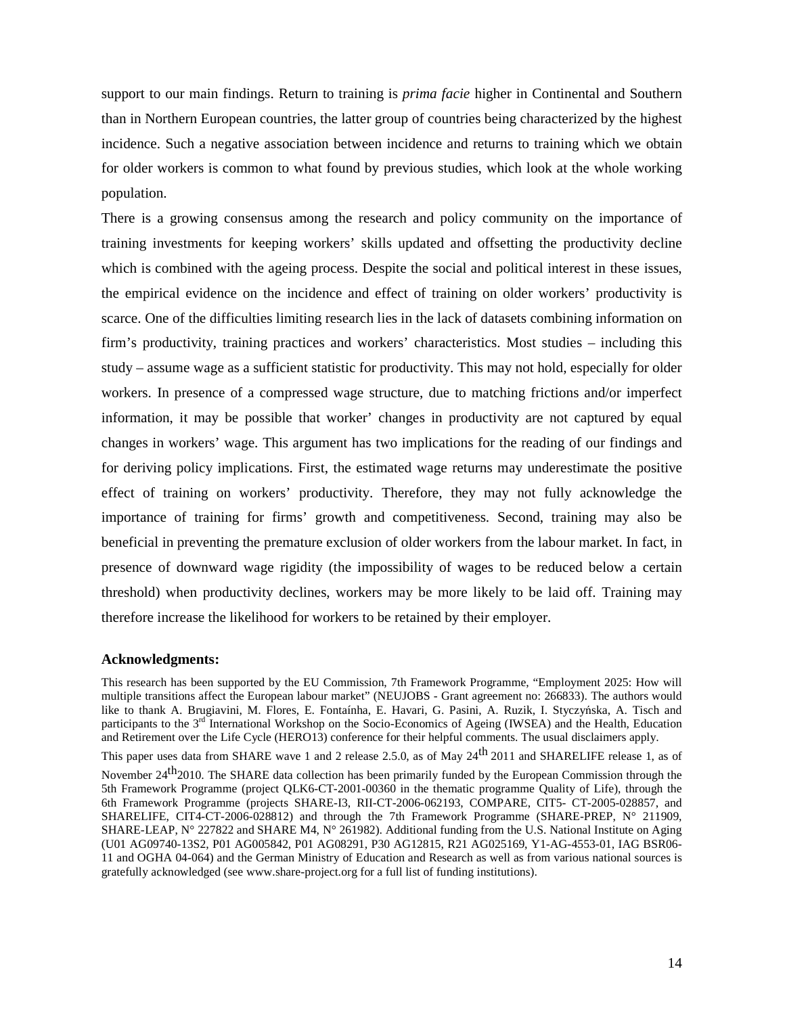support to our main findings. Return to training is *prima facie* higher in Continental and Southern than in Northern European countries, the latter group of countries being characterized by the highest incidence. Such a negative association between incidence and returns to training which we obtain for older workers is common to what found by previous studies, which look at the whole working population.

There is a growing consensus among the research and policy community on the importance of training investments for keeping workers' skills updated and offsetting the productivity decline which is combined with the ageing process. Despite the social and political interest in these issues, the empirical evidence on the incidence and effect of training on older workers' productivity is scarce. One of the difficulties limiting research lies in the lack of datasets combining information on firm's productivity, training practices and workers' characteristics. Most studies – including this study – assume wage as a sufficient statistic for productivity. This may not hold, especially for older workers. In presence of a compressed wage structure, due to matching frictions and/or imperfect information, it may be possible that worker' changes in productivity are not captured by equal changes in workers' wage. This argument has two implications for the reading of our findings and for deriving policy implications. First, the estimated wage returns may underestimate the positive effect of training on workers' productivity. Therefore, they may not fully acknowledge the importance of training for firms' growth and competitiveness. Second, training may also be beneficial in preventing the premature exclusion of older workers from the labour market. In fact, in presence of downward wage rigidity (the impossibility of wages to be reduced below a certain threshold) when productivity declines, workers may be more likely to be laid off. Training may therefore increase the likelihood for workers to be retained by their employer.

#### **Acknowledgments:**

This research has been supported by the EU Commission, 7th Framework Programme, "Employment 2025: How will multiple transitions affect the European labour market" (NEUJOBS - Grant agreement no: 266833). The authors would like to thank A. Brugiavini, M. Flores, E. Fontaínha, E. Havari, G. Pasini, A. Ruzik, I. Styczyńska, A. Tisch and participants to the 3<sup>rd</sup> International Workshop on the Socio-Economics of Ageing (IWSEA) and the Health, Education and Retirement over the Life Cycle (HERO13) conference for their helpful comments. The usual disclaimers apply.

This paper uses data from SHARE wave 1 and 2 release 2.5.0, as of May 24<sup>th</sup> 2011 and SHARELIFE release 1, as of

November 24<sup>th</sup>2010. The SHARE data collection has been primarily funded by the European Commission through the 5th Framework Programme (project QLK6-CT-2001-00360 in the thematic programme Quality of Life), through the 6th Framework Programme (projects SHARE-I3, RII-CT-2006-062193, COMPARE, CIT5- CT-2005-028857, and SHARELIFE, CIT4-CT-2006-028812) and through the 7th Framework Programme (SHARE-PREP, N° 211909, SHARE-LEAP, N° 227822 and SHARE M4, N° 261982). Additional funding from the U.S. National Institute on Aging (U01 AG09740-13S2, P01 AG005842, P01 AG08291, P30 AG12815, R21 AG025169, Y1-AG-4553-01, IAG BSR06- 11 and OGHA 04-064) and the German Ministry of Education and Research as well as from various national sources is gratefully acknowledged (see www.share-project.org for a full list of funding institutions).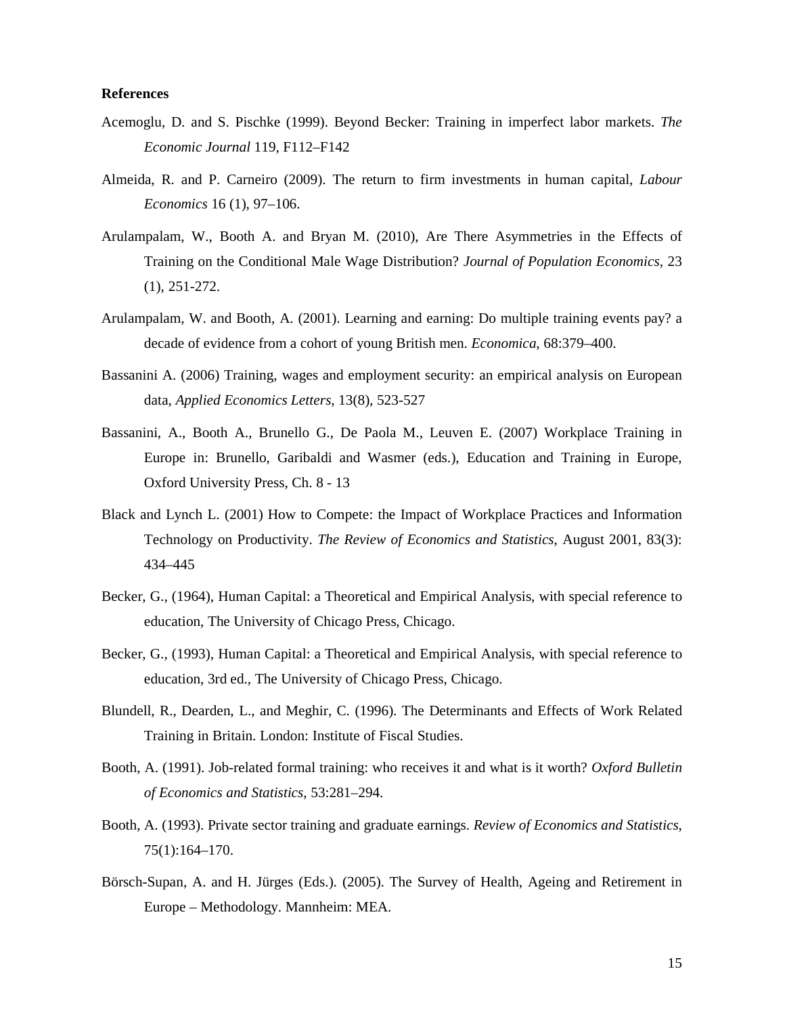### **References**

- Acemoglu, D. and S. Pischke (1999). Beyond Becker: Training in imperfect labor markets. *The Economic Journal* 119, F112–F142
- Almeida, R. and P. Carneiro (2009). The return to firm investments in human capital, *Labour Economics* 16 (1), 97–106.
- Arulampalam, W., Booth A. and Bryan M. (2010), Are There Asymmetries in the Effects of Training on the Conditional Male Wage Distribution? *Journal of Population Economics*, 23 (1), 251-272.
- Arulampalam, W. and Booth, A. (2001). Learning and earning: Do multiple training events pay? a decade of evidence from a cohort of young British men. *Economica*, 68:379–400.
- Bassanini A. (2006) Training, wages and employment security: an empirical analysis on European data, *Applied Economics Letters*, 13(8), 523-527
- Bassanini, A., Booth A., Brunello G., De Paola M., Leuven E. (2007) Workplace Training in Europe in: Brunello, Garibaldi and Wasmer (eds.), Education and Training in Europe, Oxford University Press, Ch. 8 - 13
- Black and Lynch L. (2001) How to Compete: the Impact of Workplace Practices and Information Technology on Productivity. *The Review of Economics and Statistics*, August 2001, 83(3): 434–445
- Becker, G., (1964), Human Capital: a Theoretical and Empirical Analysis, with special reference to education, The University of Chicago Press, Chicago.
- Becker, G., (1993), Human Capital: a Theoretical and Empirical Analysis, with special reference to education, 3rd ed., The University of Chicago Press, Chicago.
- Blundell, R., Dearden, L., and Meghir, C. (1996). The Determinants and Effects of Work Related Training in Britain. London: Institute of Fiscal Studies.
- Booth, A. (1991). Job-related formal training: who receives it and what is it worth? *Oxford Bulletin of Economics and Statistics*, 53:281–294.
- Booth, A. (1993). Private sector training and graduate earnings. *Review of Economics and Statistics*, 75(1):164–170.
- Börsch-Supan, A. and H. Jürges (Eds.). (2005). The Survey of Health, Ageing and Retirement in Europe – Methodology. Mannheim: MEA.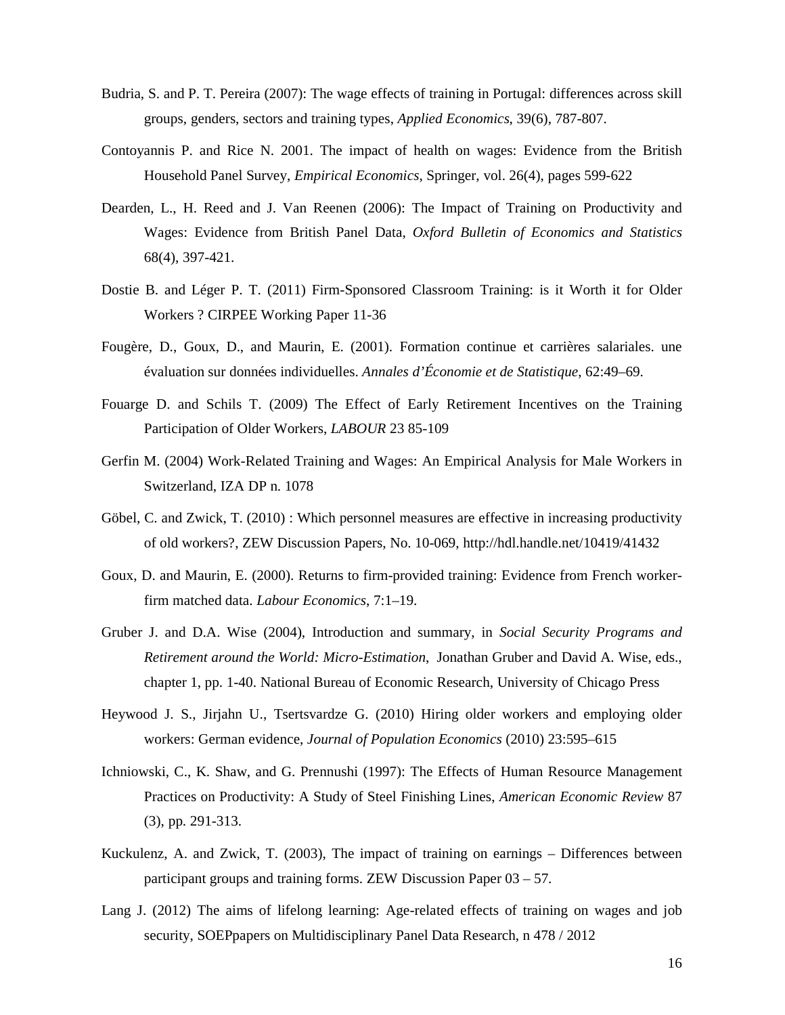- Budria, S. and P. T. Pereira (2007): The wage effects of training in Portugal: differences across skill groups, genders, sectors and training types, *Applied Economics*, 39(6), 787-807.
- Contoyannis P. and Rice N. 2001. The impact of health on wages: Evidence from the British Household Panel Survey, *Empirical Economics*, Springer, vol. 26(4), pages 599-622
- Dearden, L., H. Reed and J. Van Reenen (2006): The Impact of Training on Productivity and Wages: Evidence from British Panel Data, *Oxford Bulletin of Economics and Statistics* 68(4), 397-421.
- Dostie B. and Léger P. T. (2011) Firm-Sponsored Classroom Training: is it Worth it for Older Workers ? CIRPEE Working Paper 11-36
- Fougère, D., Goux, D., and Maurin, E. (2001). Formation continue et carrières salariales. une évaluation sur données individuelles. *Annales d'Économie et de Statistique*, 62:49–69.
- Fouarge D. and Schils T. (2009) The Effect of Early Retirement Incentives on the Training Participation of Older Workers, *LABOUR* 23 85-109
- Gerfin M. (2004) Work-Related Training and Wages: An Empirical Analysis for Male Workers in Switzerland, IZA DP n. 1078
- Göbel, C. and Zwick, T. (2010) : Which personnel measures are effective in increasing productivity of old workers?, ZEW Discussion Papers, No. 10-069, http://hdl.handle.net/10419/41432
- Goux, D. and Maurin, E. (2000). Returns to firm-provided training: Evidence from French workerfirm matched data. *Labour Economics*, 7:1–19.
- Gruber J. and D.A. Wise (2004), Introduction and summary, in *Social Security Programs and Retirement around the World: Micro-Estimation*, Jonathan Gruber and David A. Wise, eds., chapter 1, pp. 1-40. National Bureau of Economic Research, University of Chicago Press
- Heywood J. S., Jirjahn U., Tsertsvardze G. (2010) Hiring older workers and employing older workers: German evidence, *Journal of Population Economics* (2010) 23:595–615
- Ichniowski, C., K. Shaw, and G. Prennushi (1997): The Effects of Human Resource Management Practices on Productivity: A Study of Steel Finishing Lines, *American Economic Review* 87 (3), pp. 291-313.
- Kuckulenz, A. and Zwick, T. (2003), The impact of training on earnings Differences between participant groups and training forms. ZEW Discussion Paper 03 – 57.
- Lang J. (2012) The aims of lifelong learning: Age-related effects of training on wages and job security, SOEPpapers on Multidisciplinary Panel Data Research, n 478 / 2012